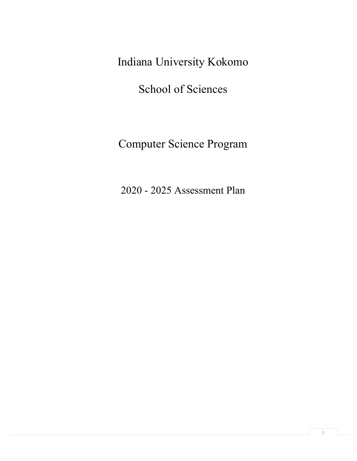Indiana University Kokomo

School of Sciences

Computer Science Program

2020 - 2025 Assessment Plan